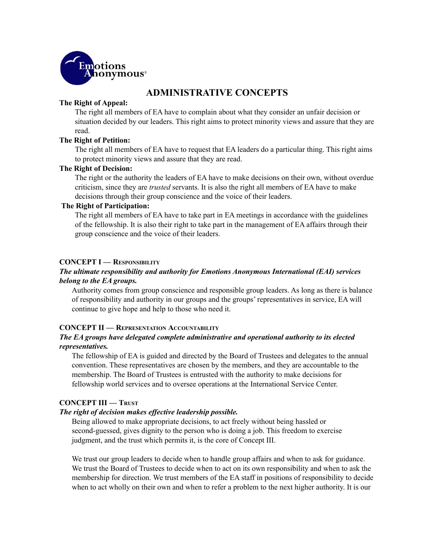

# **ADMINISTRATIVE CONCEPTS**

### **The Right of Appeal:**

The right all members of EA have to complain about what they consider an unfair decision or situation decided by our leaders. This right aims to protect minority views and assure that they are read.

### **The Right of Petition:**

The right all members of EA have to request that EA leaders do a particular thing. This right aims to protect minority views and assure that they are read.

# **The Right of Decision:**

The right or the authority the leaders of EA have to make decisions on their own, without overdue criticism, since they are *trusted* servants. It is also the right all members of EA have to make decisions through their group conscience and the voice of their leaders.

### **The Right of Participation:**

The right all members of EA have to take part in EA meetings in accordance with the guidelines of the fellowship. It is also their right to take part in the management of EA affairs through their group conscience and the voice of their leaders.

# **CONCEPT I — RESPONSIBILITY**

# *The ultimate responsibility and authority for Emotions Anonymous International (EAI) services belong to the EA groups.*

Authority comes from group conscience and responsible group leaders. As long as there is balance of responsibility and authority in our groups and the groups' representatives in service, EA will continue to give hope and help to those who need it.

### **CONCEPT II — REPRESENTATION ACCOUNTABILITY**

# *The EA groups have delegated complete administrative and operational authority to its elected representatives.*

The fellowship of EA is guided and directed by the Board of Trustees and delegates to the annual convention. These representatives are chosen by the members, and they are accountable to the membership. The Board of Trustees is entrusted with the authority to make decisions for fellowship world services and to oversee operations at the International Service Center.

### **CONCEPT III — TRUST**

### *The right of decision makes ef ective leadership possible.*

Being allowed to make appropriate decisions, to act freely without being hassled or second-guessed, gives dignity to the person who is doing a job. This freedom to exercise judgment, and the trust which permits it, is the core of Concept III.

We trust our group leaders to decide when to handle group affairs and when to ask for guidance. We trust the Board of Trustees to decide when to act on its own responsibility and when to ask the membership for direction. We trust members of the EA staff in positions of responsibility to decide when to act wholly on their own and when to refer a problem to the next higher authority. It is our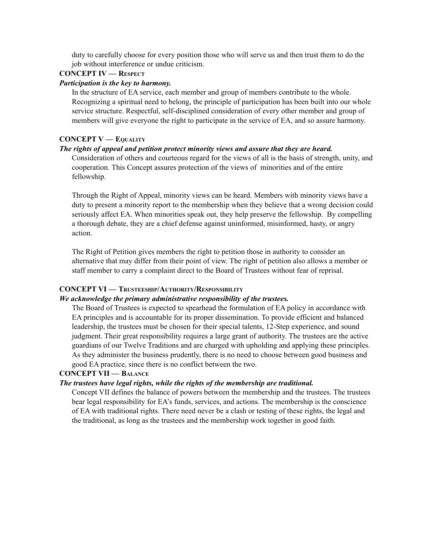duty to carefully choose for every position those who will serve us and then trust them to do the job without interference or undue criticism.

# **CONCEPT IV — RESPECT**

### *Participation is the key to harmony.*

In the structure of EA service, each member and group of members contribute to the whole. Recognizing a spiritual need to belong, the principle of participation has been built into our whole service structure. Respectful, self-disciplined consideration of every other member and group of members will give everyone the right to participate in the service of EA, and so assure harmony.

### **CONCEPT V — EQUALITY**

### *The rights of appeal and petition protect minority views and assure that they are heard.*

Consideration of others and courteous regard for the views of all is the basis of strength, unity, and cooperation. This Concept assures protection of the views of minorities and of the entire fellowship.

Through the Right of Appeal, minority views can be heard. Members with minority views have a duty to present a minority report to the membership when they believe that a wrong decision could seriously affect EA. When minorities speak out, they help preserve the fellowship. By compelling a thorough debate, they are a chief defense against uninformed, misinformed, hasty, or angry action.

The Right of Petition gives members the right to petition those in authority to consider an alternative that may differ from their point of view. The right of petition also allows a member or staff member to carry a complaint direct to the Board of Trustees without fear of reprisal.

#### **CONCEPT VI — TRUSTEESHIP/AUTHORITY/RESPONSIBILITY**

### *We acknowledge the primary administrative responsibility of the trustees.*

The Board of Trustees is expected to spearhead the formulation of EA policy in accordance with EA principles and is accountable for its proper dissemination. To provide efficient and balanced leadership, the trustees must be chosen for their special talents, 12-Step experience, and sound judgment. Their great responsibility requires a large grant of authority. The trustees are the active guardians of our Twelve Traditions and are charged with upholding and applying these principles. As they administer the business prudently, there is no need to choose between good business and good EA practice, since there is no conflict between the two.

### **CONCEPT VII — BALANCE**

### *The trustees have legal rights, while the rights of the membership are traditional.*

Concept VII defines the balance of powers between the membership and the trustees. The trustees bear legal responsibility for EA's funds, services, and actions. The membership is the conscience of EA with traditional rights. There need never be a clash or testing of these rights, the legal and the traditional, as long as the trustees and the membership work together in good faith.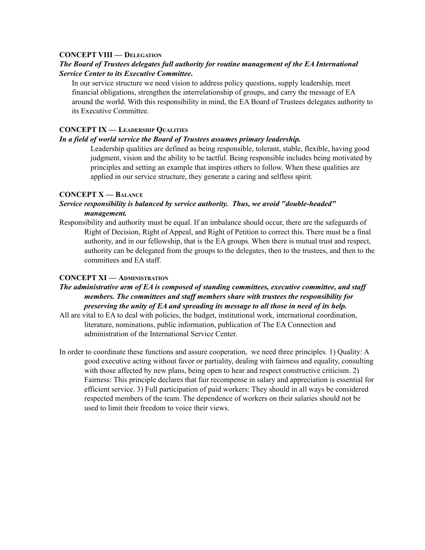### **CONCEPT VIII — DELEGATION**

# *The Board of Trustees delegates full authority for routine management of the EA International Service Center to its Executive Committee***.**

In our service structure we need vision to address policy questions, supply leadership, meet financial obligations, strengthen the interrelationship of groups, and carry the message of EA around the world. With this responsibility in mind, the EA Board of Trustees delegates authority to its Executive Committee.

### **CONCEPT IX — LEADERSHIP QUALITIES**

### *In a field of world service the Board of Trustees assumes primary leadership.*

Leadership qualities are defined as being responsible, tolerant, stable, flexible, having good judgment, vision and the ability to be tactful. Being responsible includes being motivated by principles and setting an example that inspires others to follow. When these qualities are applied in our service structure, they generate a caring and selfless spirit.

# **CONCEPT X — BALANCE**

# *Service responsibility is balanced by service authority. Thus, we avoid "double-headed" management.*

Responsibility and authority must be equal. If an imbalance should occur, there are the safeguards of Right of Decision, Right of Appeal, and Right of Petition to correct this. There must be a final authority, and in our fellowship, that is the EA groups. When there is mutual trust and respect, authority can be delegated from the groups to the delegates, then to the trustees, and then to the committees and EA staff.

### **CONCEPT XI — ADMINISTRATION**

# *The administrative arm of EA is composed of standing committees, executive committee, and staf members. The committees and staf members share with trustees the responsibility for preserving the unity of EA and spreading its message to all those in need of its help.*

- All are vital to EA to deal with policies, the budget, institutional work, international coordination, literature, nominations, public information, publication of The EA Connection and administration of the International Service Center.
- In order to coordinate these functions and assure cooperation, we need three principles. 1) Quality: A good executive acting without favor or partiality, dealing with fairness and equality, consulting with those affected by new plans, being open to hear and respect constructive criticism. 2) Fairness: This principle declares that fair recompense in salary and appreciation is essential for efficient service. 3) Full participation of paid workers: They should in all ways be considered respected members of the team. The dependence of workers on their salaries should not be used to limit their freedom to voice their views.